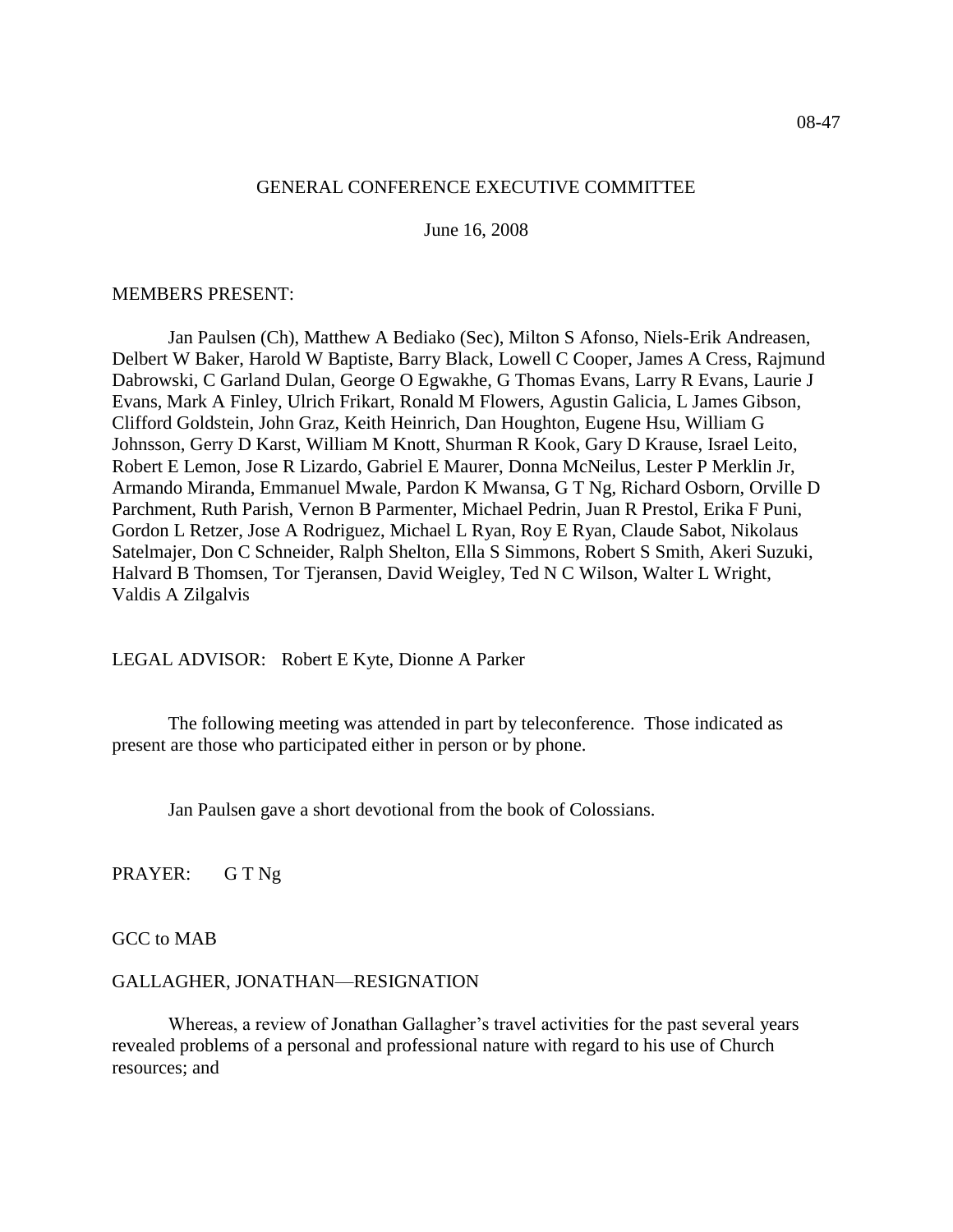#### 08-47

### GENERAL CONFERENCE EXECUTIVE COMMITTEE

June 16, 2008

#### MEMBERS PRESENT:

Jan Paulsen (Ch), Matthew A Bediako (Sec), Milton S Afonso, Niels-Erik Andreasen, Delbert W Baker, Harold W Baptiste, Barry Black, Lowell C Cooper, James A Cress, Rajmund Dabrowski, C Garland Dulan, George O Egwakhe, G Thomas Evans, Larry R Evans, Laurie J Evans, Mark A Finley, Ulrich Frikart, Ronald M Flowers, Agustin Galicia, L James Gibson, Clifford Goldstein, John Graz, Keith Heinrich, Dan Houghton, Eugene Hsu, William G Johnsson, Gerry D Karst, William M Knott, Shurman R Kook, Gary D Krause, Israel Leito, Robert E Lemon, Jose R Lizardo, Gabriel E Maurer, Donna McNeilus, Lester P Merklin Jr, Armando Miranda, Emmanuel Mwale, Pardon K Mwansa, G T Ng, Richard Osborn, Orville D Parchment, Ruth Parish, Vernon B Parmenter, Michael Pedrin, Juan R Prestol, Erika F Puni, Gordon L Retzer, Jose A Rodriguez, Michael L Ryan, Roy E Ryan, Claude Sabot, Nikolaus Satelmajer, Don C Schneider, Ralph Shelton, Ella S Simmons, Robert S Smith, Akeri Suzuki, Halvard B Thomsen, Tor Tjeransen, David Weigley, Ted N C Wilson, Walter L Wright, Valdis A Zilgalvis

LEGAL ADVISOR: Robert E Kyte, Dionne A Parker

The following meeting was attended in part by teleconference. Those indicated as present are those who participated either in person or by phone.

Jan Paulsen gave a short devotional from the book of Colossians.

PRAYER: G T Ng

GCC to MAB

#### GALLAGHER, JONATHAN—RESIGNATION

Whereas, a review of Jonathan Gallagher's travel activities for the past several years revealed problems of a personal and professional nature with regard to his use of Church resources; and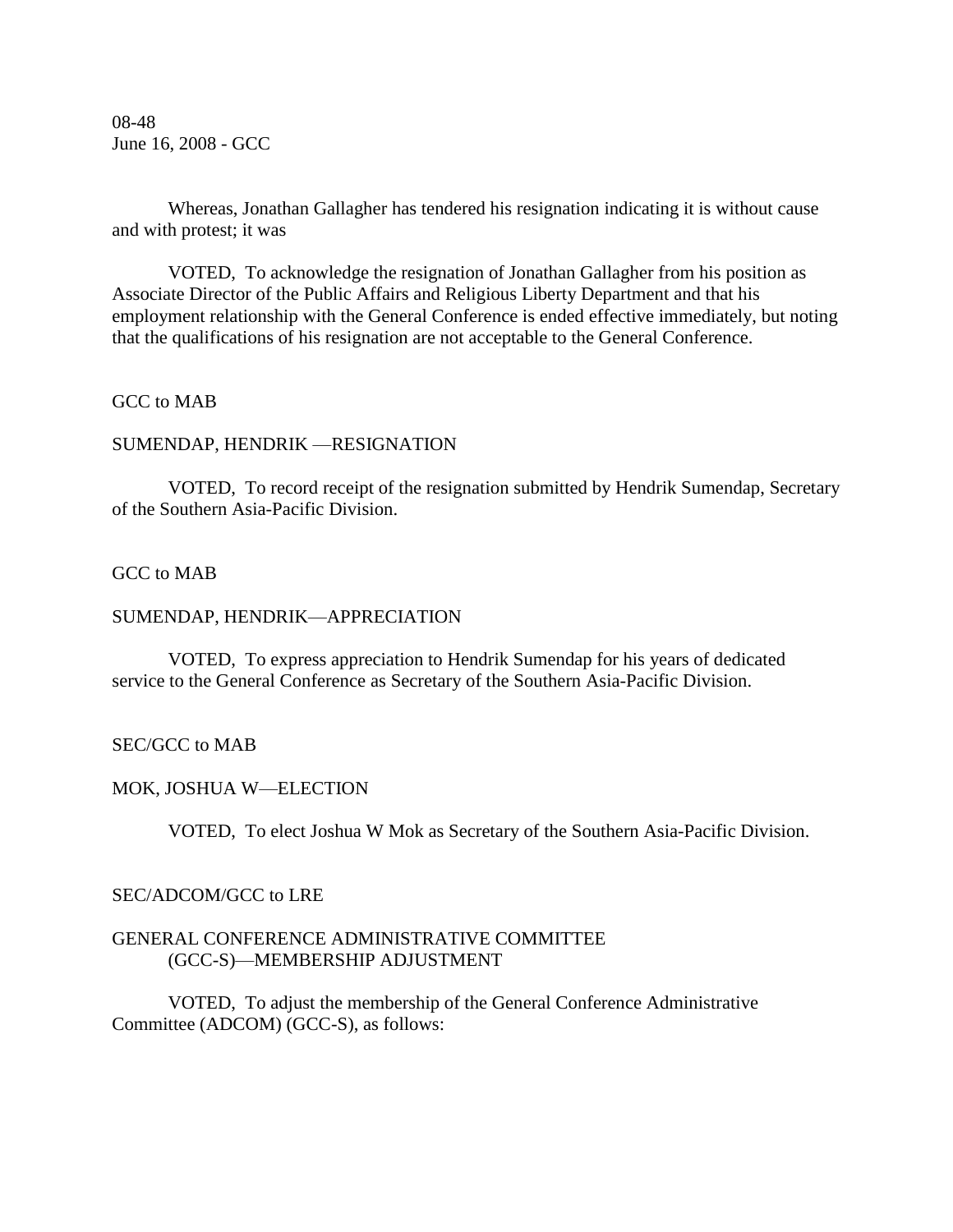08-48 June 16, 2008 - GCC

Whereas, Jonathan Gallagher has tendered his resignation indicating it is without cause and with protest; it was

VOTED, To acknowledge the resignation of Jonathan Gallagher from his position as Associate Director of the Public Affairs and Religious Liberty Department and that his employment relationship with the General Conference is ended effective immediately, but noting that the qualifications of his resignation are not acceptable to the General Conference.

## GCC to MAB

### SUMENDAP, HENDRIK —RESIGNATION

VOTED, To record receipt of the resignation submitted by Hendrik Sumendap, Secretary of the Southern Asia-Pacific Division.

## GCC to MAB

#### SUMENDAP, HENDRIK—APPRECIATION

VOTED, To express appreciation to Hendrik Sumendap for his years of dedicated service to the General Conference as Secretary of the Southern Asia-Pacific Division.

## SEC/GCC to MAB

#### MOK, JOSHUA W—ELECTION

VOTED, To elect Joshua W Mok as Secretary of the Southern Asia-Pacific Division.

#### SEC/ADCOM/GCC to LRE

### GENERAL CONFERENCE ADMINISTRATIVE COMMITTEE (GCC-S)—MEMBERSHIP ADJUSTMENT

VOTED, To adjust the membership of the General Conference Administrative Committee (ADCOM) (GCC-S), as follows: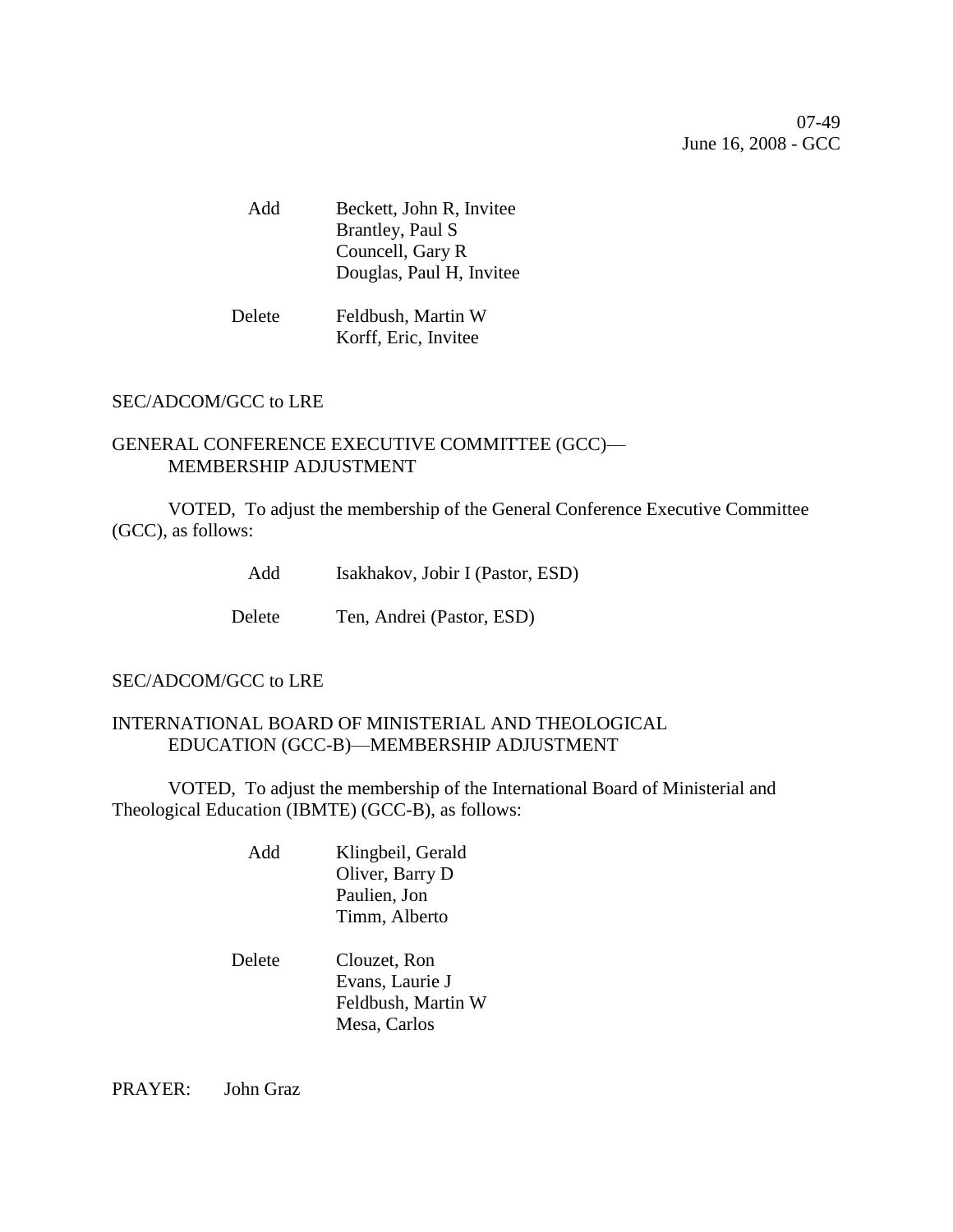07-49 June 16, 2008 - GCC

Add Beckett, John R, Invitee Brantley, Paul S Councell, Gary R Douglas, Paul H, Invitee

Delete Feldbush, Martin W Korff, Eric, Invitee

# SEC/ADCOM/GCC to LRE

# GENERAL CONFERENCE EXECUTIVE COMMITTEE (GCC)— MEMBERSHIP ADJUSTMENT

VOTED, To adjust the membership of the General Conference Executive Committee (GCC), as follows:

Add Isakhakov, Jobir I (Pastor, ESD)

Delete Ten, Andrei (Pastor, ESD)

## SEC/ADCOM/GCC to LRE

## INTERNATIONAL BOARD OF MINISTERIAL AND THEOLOGICAL EDUCATION (GCC-B)—MEMBERSHIP ADJUSTMENT

VOTED, To adjust the membership of the International Board of Ministerial and Theological Education (IBMTE) (GCC-B), as follows:

| Add | Klingbeil, Gerald |
|-----|-------------------|
|     | Oliver, Barry D   |
|     | Paulien, Jon      |
|     | Timm, Alberto     |
|     |                   |

## Delete Clouzet, Ron Evans, Laurie J Feldbush, Martin W Mesa, Carlos

PRAYER: John Graz